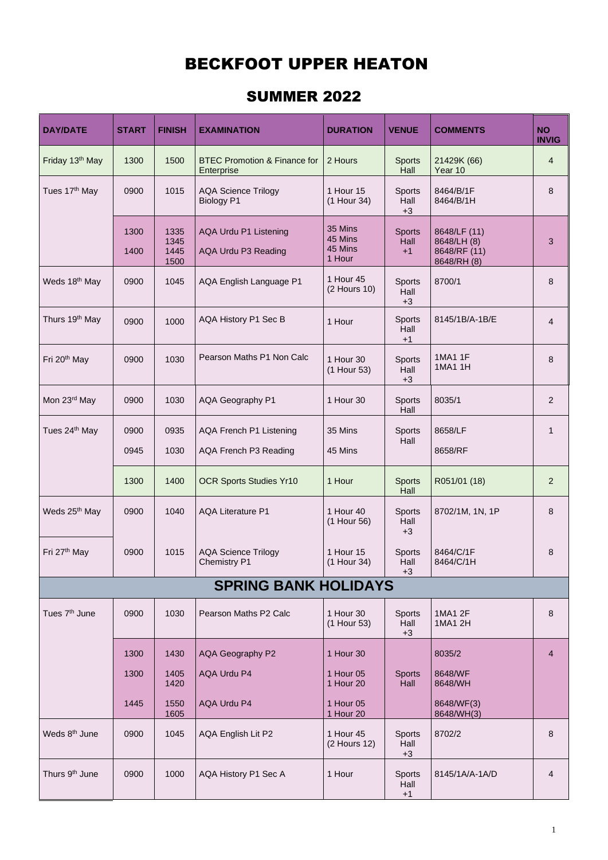1

## BECKFOOT UPPER HEATON

## SUMMER 2022

| <b>DAY/DATE</b>             | <b>START</b> | <b>FINISH</b>                | <b>EXAMINATION</b>                                    | <b>DURATION</b>                         | <b>VENUE</b>                  | <b>COMMENTS</b>                                            | <b>NO</b><br><b>INVIG</b> |  |
|-----------------------------|--------------|------------------------------|-------------------------------------------------------|-----------------------------------------|-------------------------------|------------------------------------------------------------|---------------------------|--|
| Friday 13th May             | 1300         | 1500                         | <b>BTEC Promotion &amp; Finance for</b><br>Enterprise | 2 Hours                                 | <b>Sports</b><br>Hall         | 21429K (66)<br>Year 10                                     | $\overline{4}$            |  |
| Tues 17 <sup>th</sup> May   | 0900         | 1015                         | <b>AQA Science Trilogy</b><br><b>Biology P1</b>       | 1 Hour 15<br>(1 Hour 34)                | <b>Sports</b><br>Hall<br>$+3$ | 8464/B/1F<br>8464/B/1H                                     | 8                         |  |
|                             | 1300<br>1400 | 1335<br>1345<br>1445<br>1500 | AQA Urdu P1 Listening<br>AQA Urdu P3 Reading          | 35 Mins<br>45 Mins<br>45 Mins<br>1 Hour | <b>Sports</b><br>Hall<br>$+1$ | 8648/LF (11)<br>8648/LH (8)<br>8648/RF (11)<br>8648/RH (8) | 3                         |  |
| Weds 18 <sup>th</sup> May   | 0900         | 1045                         | AQA English Language P1                               | 1 Hour 45<br>(2 Hours 10)               | <b>Sports</b><br>Hall<br>$+3$ | 8700/1                                                     | 8                         |  |
| Thurs 19 <sup>th</sup> May  | 0900         | 1000                         | <b>AQA History P1 Sec B</b>                           | 1 Hour                                  | <b>Sports</b><br>Hall<br>$+1$ | 8145/1B/A-1B/E                                             | $\overline{4}$            |  |
| Fri 20 <sup>th</sup> May    | 0900         | 1030                         | Pearson Maths P1 Non Calc                             | 1 Hour 30<br>(1 Hour 53)                | <b>Sports</b><br>Hall<br>$+3$ | <b>1MA1 1F</b><br><b>1MA1 1H</b>                           | 8                         |  |
| Mon 23rd May                | 0900         | 1030                         | <b>AQA Geography P1</b>                               | 1 Hour 30                               | <b>Sports</b><br>Hall         | 8035/1                                                     | $\overline{2}$            |  |
| Tues 24 <sup>th</sup> May   | 0900         | 0935                         | AQA French P1 Listening                               | 35 Mins                                 | <b>Sports</b><br>Hall         | 8658/LF                                                    |                           |  |
|                             | 0945         | 1030                         | AQA French P3 Reading                                 | 45 Mins                                 |                               | 8658/RF                                                    |                           |  |
|                             | 1300         | 1400                         | <b>OCR Sports Studies Yr10</b>                        | 1 Hour                                  | <b>Sports</b><br>Hall         | R051/01 (18)                                               | 2                         |  |
| Weds 25 <sup>th</sup> May   | 0900         | 1040                         | <b>AQA Literature P1</b>                              | 1 Hour 40<br>(1 Hour 56)                | <b>Sports</b><br>Hall<br>$+3$ | 8702/1M, 1N, 1P                                            | 8                         |  |
| Fri 27 <sup>th</sup> May    | 0900         | 1015                         | <b>AQA Science Trilogy</b><br><b>Chemistry P1</b>     | 1 Hour 15<br>(1 Hour 34)                | <b>Sports</b><br>Hall<br>$+3$ | 8464/C/1F<br>8464/C/1H                                     | 8                         |  |
| <b>SPRING BANK HOLIDAYS</b> |              |                              |                                                       |                                         |                               |                                                            |                           |  |
| Tues 7 <sup>th</sup> June   | 0900         | 1030                         | Pearson Maths P2 Calc                                 | 1 Hour 30<br>(1 Hour 53)                | <b>Sports</b><br>Hall<br>$+3$ | <b>1MA1 2F</b><br>1MA1 2H                                  | 8                         |  |
|                             |              |                              |                                                       |                                         |                               |                                                            |                           |  |

|                            | 1300 | 1430         | AQA Geography P2     | 1 Hour 30                   |                               | 8035/2                   | $\overline{4}$ |
|----------------------------|------|--------------|----------------------|-----------------------------|-------------------------------|--------------------------|----------------|
|                            | 1300 | 1405<br>1420 | <b>AQA Urdu P4</b>   | 1 Hour 05<br>1 Hour 20      | <b>Sports</b><br>Hall         | 8648/WF<br>8648/WH       |                |
|                            | 1445 | 1550<br>1605 | AQA Urdu P4          | 1 Hour 05<br>1 Hour 20      |                               | 8648/WF(3)<br>8648/WH(3) |                |
| Weds 8 <sup>th</sup> June  | 0900 | 1045         | AQA English Lit P2   | 1 Hour 45<br>$(2$ Hours 12) | <b>Sports</b><br>Hall<br>$+3$ | 8702/2                   | 8              |
| Thurs 9 <sup>th</sup> June | 0900 | 1000         | AQA History P1 Sec A | 1 Hour                      | <b>Sports</b><br>Hall<br>$+1$ | 8145/1A/A-1A/D           | $\overline{4}$ |